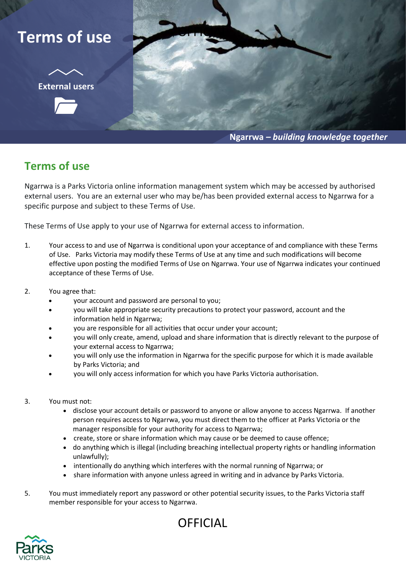## **Terms of use**

**External users**



**Ngarrwa** *– building knowledge together*

## **Terms of use**

Ngarrwa is a Parks Victoria online information management system which may be accessed by authorised external users. You are an external user who may be/has been provided external access to Ngarrwa for a specific purpose and subject to these Terms of Use.

These Terms of Use apply to your use of Ngarrwa for external access to information.

- 1. Your access to and use of Ngarrwa is conditional upon your acceptance of and compliance with these Terms of Use. Parks Victoria may modify these Terms of Use at any time and such modifications will become effective upon posting the modified Terms of Use on Ngarrwa. Your use of Ngarrwa indicates your continued acceptance of these Terms of Use.
- 2. You agree that:
	- your account and password are personal to you;
	- you will take appropriate security precautions to protect your password, account and the information held in Ngarrwa;
	- you are responsible for all activities that occur under your account;
	- you will only create, amend, upload and share information that is directly relevant to the purpose of your external access to Ngarrwa;
	- you will only use the information in Ngarrwa for the specific purpose for which it is made available by Parks Victoria; and
	- you will only access information for which you have Parks Victoria authorisation.
- 3. You must not:
	- disclose your account details or password to anyone or allow anyone to access Ngarrwa. If another person requires access to Ngarrwa, you must direct them to the officer at Parks Victoria or the manager responsible for your authority for access to Ngarrwa;
	- create, store or share information which may cause or be deemed to cause offence;
	- do anything which is illegal (including breaching intellectual property rights or handling information unlawfully);
	- intentionally do anything which interferes with the normal running of Ngarrwa; or
	- share information with anyone unless agreed in writing and in advance by Parks Victoria.
- 5. You must immediately report any password or other potential security issues, to the Parks Victoria staff member responsible for your access to Ngarrwa.